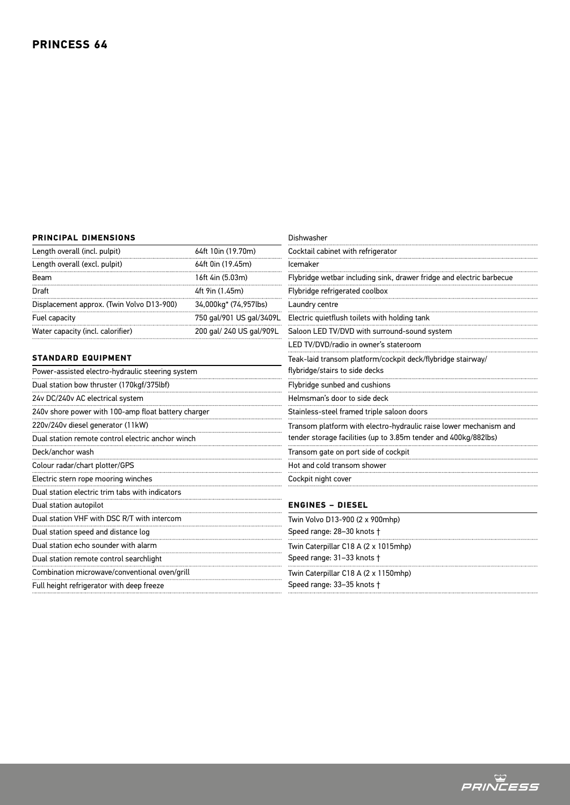| PRINCIPAL DIMENSIONS                                |                          | Dishwasher                                                           |
|-----------------------------------------------------|--------------------------|----------------------------------------------------------------------|
| Length overall (incl. pulpit)                       | 64ft 10in (19.70m)       | Cocktail cabinet with refrigerator                                   |
| Length overall (excl. pulpit)                       | 64ft 0in (19.45m)        | Icemaker                                                             |
| Beam                                                | 16ft 4in (5.03m)         | Flybridge wetbar including sink, drawer fridge and electric barbecue |
| Draft                                               | 4ft 9in (1.45m)          | Flybridge refrigerated coolbox                                       |
| Displacement approx. (Twin Volvo D13-900)           | 34,000kg* (74,957lbs)    | Laundry centre                                                       |
| Fuel capacity                                       | 750 gal/901 US gal/3409L | Electric quietflush toilets with holding tank                        |
| Water capacity (incl. calorifier)                   | 200 gal/ 240 US gal/909L | Saloon LED TV/DVD with surround-sound system                         |
|                                                     |                          | LED TV/DVD/radio in owner's stateroom                                |
| <b>STANDARD EQUIPMENT</b>                           |                          | Teak-laid transom platform/cockpit deck/flybridge stairway/          |
| Power-assisted electro-hydraulic steering system    |                          | flybridge/stairs to side decks                                       |
| Dual station bow thruster (170kgf/375lbf)           |                          | Flybridge sunbed and cushions                                        |
| 24v DC/240v AC electrical system                    |                          | Helmsman's door to side deck                                         |
| 240v shore power with 100-amp float battery charger |                          | Stainless-steel framed triple saloon doors                           |
| 220v/240v diesel generator (11kW)                   |                          | Transom platform with electro-hydraulic raise lower mechanism and    |
| Dual station remote control electric anchor winch   |                          | tender storage facilities (up to 3.85m tender and 400kg/882lbs)      |
| Deck/anchor wash                                    |                          | Transom gate on port side of cockpit                                 |
| Colour radar/chart plotter/GPS                      |                          | Hot and cold transom shower                                          |
| Electric stern rope mooring winches                 |                          | Cockpit night cover                                                  |
| Dual station electric trim tabs with indicators     |                          |                                                                      |
| Dual station autopilot                              |                          | <b>ENGINES - DIESEL</b>                                              |
| Dual station VHF with DSC R/T with intercom         |                          | Twin Volvo D13-900 (2 x 900mhp)                                      |
| Dual station speed and distance log                 |                          | Speed range: 28-30 knots +                                           |
| Dual station echo sounder with alarm                |                          | Twin Caterpillar C18 A (2 x 1015mhp)                                 |
| Dual station remote control searchlight             |                          | Speed range: 31-33 knots +                                           |
| Combination microwave/conventional oven/grill       |                          | Twin Caterpillar C18 A (2 x 1150mhp)                                 |
| Full height refrigerator with deep freeze           |                          | Speed range: 33-35 knots +                                           |

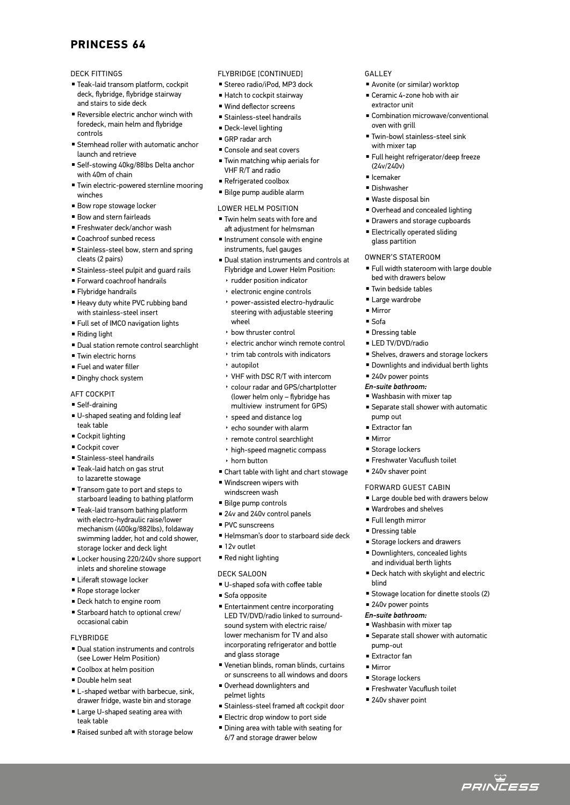## **PRINCESS 64**

## DECK FITTINGS

- Teak-laid transom platform, cockpit deck, flybridge, flybridge stairway and stairs to side deck
- <sup>n</sup> Reversible electric anchor winch with foredeck, main helm and flybridge controls
- **Example 3 Stemhead roller with automatic anchor** launch and retrieve
- <sup>n</sup> Self-stowing 40kg/88lbs Delta anchor with 40m of chain
- Twin electric-powered sternline mooring winches
- **Bow rope stowage locker**
- $\blacksquare$  Bow and stern fairleads
- Freshwater deck/anchor wash
- Coachroof sunbed recess
- **Exampless-steel bow, stern and spring** cleats (2 pairs)
- <sup>n</sup> Stainless-steel pulpit and guard rails
- Forward coachroof handrails
- **Flybridge handrails**
- Heavy duty white PVC rubbing band
- with stainless-steel insert
- Full set of IMCO navigation lights
- $\blacksquare$  Riding light
- $\blacksquare$  Dual station remote control searchlight
- Twin electric horns
- Fuel and water filler
- **Dinghy chock system**

#### AFT COCKPIT

- $\blacksquare$  Self-draining
- U-shaped seating and folding leaf teak table
- $\blacksquare$  Cockpit lighting
- Cockpit cover
- **Example Stainless-steel handrails**
- Teak-laid hatch on gas strut to lazarette stowage
- Transom gate to port and steps to starboard leading to bathing platform
- Teak-laid transom bathing platform with electro-hydraulic raise/lower mechanism (400kg/882lbs), foldaway swimming ladder, hot and cold shower, storage locker and deck light
- Locker housing 220/240v shore support inlets and shoreline stowage
- **E** Liferaft stowage locker
- Rope storage locker
- **Deck hatch to engine room**
- <sup>n</sup> Starboard hatch to optional crew/ occasional cabin
- FLYBRIDGE
- Dual station instruments and controls (see Lower Helm Position)
- $\blacksquare$  Coolbox at helm position
- <sup>n</sup> Double helm seat
- **E** L-shaped wetbar with barbecue, sink, drawer fridge, waste bin and storage
- <sup>n</sup> Large U-shaped seating area with teak table
- <sup>n</sup> Raised sunbed aft with storage below

### FLYBRIDGE [CONTINUED]

- Stereo radio/iPod, MP3 dock
- Hatch to cockpit stairway
- <sup>n</sup> Wind deflector screens
- <sup>n</sup> Stainless-steel handrails
- <sup>n</sup> Deck-level lighting
- GRP radar arch
- Console and seat covers
- Twin matching whip aerials for VHF R/T and radio
- Refrigerated coolbox
- <sup>n</sup> Bilge pump audible alarm

#### LOWER HELM POSITION

- Twin helm seats with fore and aft adjustment for helmsman
- <sup>n</sup> Instrument console with engine instruments, fuel gauges
- <sup>n</sup> Dual station instruments and controls at Flybridge and Lower Helm Position:
	- ▶ rudder position indicator
	- ▶ electronic engine controls
	- ▶ power-assisted electro-hydraulic steering with adjustable steering wheel
	- ▶ bow thruster control
	- ▶ electric anchor winch remote control
	- ▶ trim tab controls with indicators
	- ▶ autopilot
	- ▶ VHF with DSC R/T with intercom
	- ▶ colour radar and GPS/chartplotter (lower helm only – flybridge has multiview instrument for GPS)
	- ▶ speed and distance log
- ▶ echo sounder with alarm
- ▶ remote control searchlight
- ▶ high-speed magnetic compass
- ▶ horn button
- <sup>n</sup> Chart table with light and chart stowage
- Windscreen wipers with windscreen wash
- Bilge pump controls
- 24v and 240v control panels
- PVC sunscreens
- <sup>n</sup> Helmsman's door to starboard side deck
- 12v outlet
- Red night lighting

## DECK SALOON

- U-shaped sofa with coffee table
- Sofa opposite
- **Entertainment centre incorporating** LED TV/DVD/radio linked to surroundsound system with electric raise/ lower mechanism for TV and also incorporating refrigerator and bottle and glass storage
- Venetian blinds, roman blinds, curtains or sunscreens to all windows and doors
- <sup>n</sup> Overhead downlighters and pelmet lights
- <sup>n</sup> Stainless-steel framed aft cockpit door
- **Electric drop window to port side**
- **Dining area with table with seating for** 6/7 and storage drawer below

## GALLEY

- Avonite (or similar) worktop
- Ceramic 4-zone hob with air
- extractor unit
- Combination microwave/conventional oven with grill
- Twin-bowl stainless-steel sink with mixer tap
- Full height refrigerator/deep freeze (24v/240v)

■ Overhead and concealed lighting **• Drawers and storage cupboards Electrically operated sliding** 

<sup>n</sup> Full width stateroom with large double

**E** Shelves, drawers and storage lockers **• Downlights and individual berth lights** 

**Exercise Separate stall shower with automatic** 

**Example 3** Large double bed with drawers below

<sup>n</sup> Stowage location for dinette stools (2)

<sup>n</sup> Separate stall shower with automatic

ت<br>*PRINCESS* 

bed with drawers below  $\blacksquare$  Twin bedside tables **E** Large wardrobe  $Mirror$  $s$ 

- Icemaker
- **Dishwasher**
- Waste disposal bin

glass partition OWNER'S STATEROOM

**Dressing table ELED TV/DVD/radio** 

■ 240v power points *En-suite bathroom:* ■ Washbasin with mixer tap

pump out  $\blacksquare$  Extractor fan <sup>n</sup> Mirror

**E** Storage lockers

<sup>n</sup> Freshwater Vacuflush toilet ■ 240v shaver point

Forward Guest Cabin

■ Wardrobes and shelves ■ Full length mirror **Dressing table** 

blind

 $240v$  power points *En-suite bathroom:* ■ Washbasin with mixer tap

pump-out  $\blacksquare$  Extractor fan <sup>n</sup> Mirror

**E** Storage lockers

<sup>n</sup> Freshwater Vacuflush toilet ■ 240v shaver point

**Storage lockers and drawers • Downlighters, concealed lights** and individual berth lights ■ Deck hatch with skylight and electric